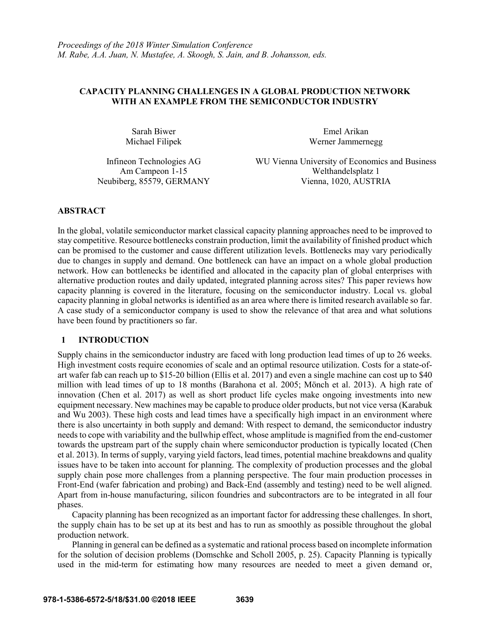# **CAPACITY PLANNING CHALLENGES IN A GLOBAL PRODUCTION NETWORK WITH AN EXAMPLE FROM THE SEMICONDUCTOR INDUSTRY**

Sarah Biwer Emel Arikan Michael Filipek Werner Jammernegg

Infineon Technologies AG WU Vienna University of Economics and Business Am Campeon 1-15 Welthandelsplatz 1 Neubiberg, 85579, GERMANY Vienna, 1020, AUSTRIA

# **ABSTRACT**

In the global, volatile semiconductor market classical capacity planning approaches need to be improved to stay competitive. Resource bottlenecks constrain production, limit the availability of finished product which can be promised to the customer and cause different utilization levels. Bottlenecks may vary periodically due to changes in supply and demand. One bottleneck can have an impact on a whole global production network. How can bottlenecks be identified and allocated in the capacity plan of global enterprises with alternative production routes and daily updated, integrated planning across sites? This paper reviews how capacity planning is covered in the literature, focusing on the semiconductor industry. Local vs. global capacity planning in global networks is identified as an area where there is limited research available so far. A case study of a semiconductor company is used to show the relevance of that area and what solutions have been found by practitioners so far.

# **1 INTRODUCTION**

Supply chains in the semiconductor industry are faced with long production lead times of up to 26 weeks. High investment costs require economies of scale and an optimal resource utilization. Costs for a state-ofart wafer fab can reach up to \$15-20 billion (Ellis et al. 2017) and even a single machine can cost up to \$40 million with lead times of up to 18 months (Barahona et al. 2005; Mönch et al. 2013). A high rate of innovation (Chen et al. 2017) as well as short product life cycles make ongoing investments into new equipment necessary. New machines may be capable to produce older products, but not vice versa (Karabuk and Wu 2003). These high costs and lead times have a specifically high impact in an environment where there is also uncertainty in both supply and demand: With respect to demand, the semiconductor industry needs to cope with variability and the bullwhip effect, whose amplitude is magnified from the end-customer towards the upstream part of the supply chain where semiconductor production is typically located (Chen et al. 2013). In terms of supply, varying yield factors, lead times, potential machine breakdowns and quality issues have to be taken into account for planning. The complexity of production processes and the global supply chain pose more challenges from a planning perspective. The four main production processes in Front-End (wafer fabrication and probing) and Back-End (assembly and testing) need to be well aligned. Apart from in-house manufacturing, silicon foundries and subcontractors are to be integrated in all four phases.

Capacity planning has been recognized as an important factor for addressing these challenges. In short, the supply chain has to be set up at its best and has to run as smoothly as possible throughout the global production network.

Planning in general can be defined as a systematic and rational process based on incomplete information for the solution of decision problems (Domschke and Scholl 2005, p. 25). Capacity Planning is typically used in the mid-term for estimating how many resources are needed to meet a given demand or,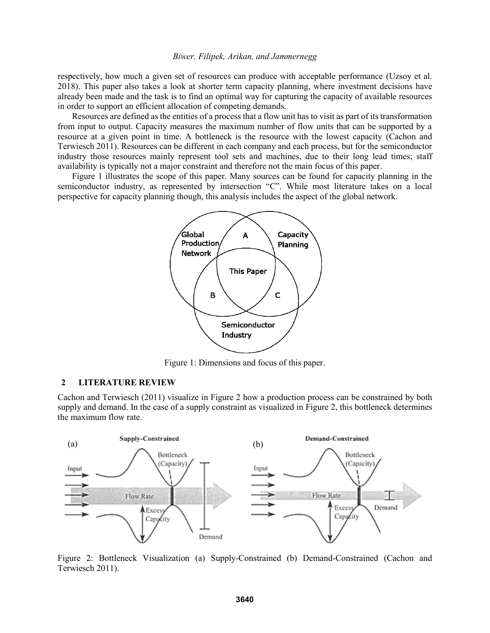respectively, how much a given set of resources can produce with acceptable performance (Uzsoy et al. 2018). This paper also takes a look at shorter term capacity planning, where investment decisions have already been made and the task is to find an optimal way for capturing the capacity of available resources in order to support an efficient allocation of competing demands.

Resources are defined as the entities of a process that a flow unit has to visit as part of its transformation from input to output. Capacity measures the maximum number of flow units that can be supported by a resource at a given point in time. A bottleneck is the resource with the lowest capacity (Cachon and Terwiesch 2011). Resources can be different in each company and each process, but for the semiconductor industry those resources mainly represent tool sets and machines, due to their long lead times; staff availability is typically not a major constraint and therefore not the main focus of this paper.

Figure 1 illustrates the scope of this paper. Many sources can be found for capacity planning in the semiconductor industry, as represented by intersection "C". While most literature takes on a local perspective for capacity planning though, this analysis includes the aspect of the global network.



Figure 1: Dimensions and focus of this paper.

# **2 LITERATURE REVIEW**

Cachon and Terwiesch (2011) visualize in Figure 2 how a production process can be constrained by both supply and demand. In the case of a supply constraint as visualized in Figure 2, this bottleneck determines the maximum flow rate.



Figure 2: Bottleneck Visualization (a) Supply-Constrained (b) Demand-Constrained (Cachon and Terwiesch 2011).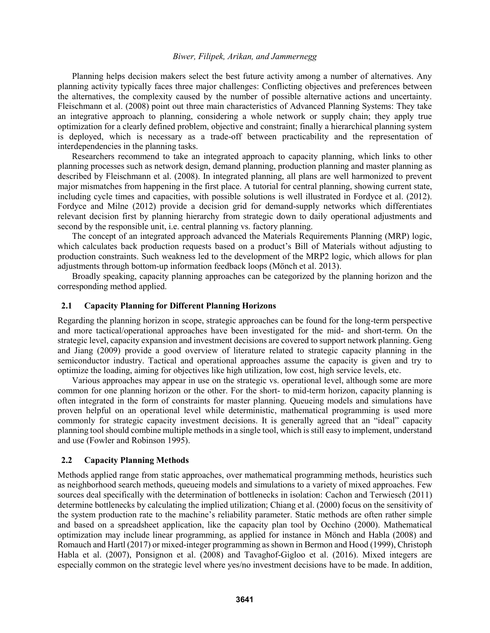Planning helps decision makers select the best future activity among a number of alternatives. Any planning activity typically faces three major challenges: Conflicting objectives and preferences between the alternatives, the complexity caused by the number of possible alternative actions and uncertainty. Fleischmann et al. (2008) point out three main characteristics of Advanced Planning Systems: They take an integrative approach to planning, considering a whole network or supply chain; they apply true optimization for a clearly defined problem, objective and constraint; finally a hierarchical planning system is deployed, which is necessary as a trade-off between practicability and the representation of interdependencies in the planning tasks.

Researchers recommend to take an integrated approach to capacity planning, which links to other planning processes such as network design, demand planning, production planning and master planning as described by Fleischmann et al. (2008). In integrated planning, all plans are well harmonized to prevent major mismatches from happening in the first place. A tutorial for central planning, showing current state, including cycle times and capacities, with possible solutions is well illustrated in Fordyce et al. (2012). Fordyce and Milne (2012) provide a decision grid for demand-supply networks which differentiates relevant decision first by planning hierarchy from strategic down to daily operational adjustments and second by the responsible unit, i.e. central planning vs. factory planning.

The concept of an integrated approach advanced the Materials Requirements Planning (MRP) logic, which calculates back production requests based on a product's Bill of Materials without adjusting to production constraints. Such weakness led to the development of the MRP2 logic, which allows for plan adjustments through bottom-up information feedback loops (Mönch et al. 2013).

Broadly speaking, capacity planning approaches can be categorized by the planning horizon and the corresponding method applied.

#### **2.1 Capacity Planning for Different Planning Horizons**

Regarding the planning horizon in scope, strategic approaches can be found for the long-term perspective and more tactical/operational approaches have been investigated for the mid- and short-term. On the strategic level, capacity expansion and investment decisions are covered to support network planning. Geng and Jiang (2009) provide a good overview of literature related to strategic capacity planning in the semiconductor industry. Tactical and operational approaches assume the capacity is given and try to optimize the loading, aiming for objectives like high utilization, low cost, high service levels, etc.

Various approaches may appear in use on the strategic vs. operational level, although some are more common for one planning horizon or the other. For the short- to mid-term horizon, capacity planning is often integrated in the form of constraints for master planning. Queueing models and simulations have proven helpful on an operational level while deterministic, mathematical programming is used more commonly for strategic capacity investment decisions. It is generally agreed that an "ideal" capacity planning tool should combine multiple methods in a single tool, which is still easy to implement, understand and use (Fowler and Robinson 1995).

#### **2.2 Capacity Planning Methods**

Methods applied range from static approaches, over mathematical programming methods, heuristics such as neighborhood search methods, queueing models and simulations to a variety of mixed approaches. Few sources deal specifically with the determination of bottlenecks in isolation: Cachon and Terwiesch (2011) determine bottlenecks by calculating the implied utilization; Chiang et al. (2000) focus on the sensitivity of the system production rate to the machine's reliability parameter. Static methods are often rather simple and based on a spreadsheet application, like the capacity plan tool by Occhino (2000). Mathematical optimization may include linear programming, as applied for instance in Mönch and Habla (2008) and Romauch and Hartl (2017) or mixed-integer programming as shown in Bermon and Hood (1999), Christoph Habla et al. (2007), Ponsignon et al. (2008) and Tavaghof-Gigloo et al. (2016). Mixed integers are especially common on the strategic level where yes/no investment decisions have to be made. In addition,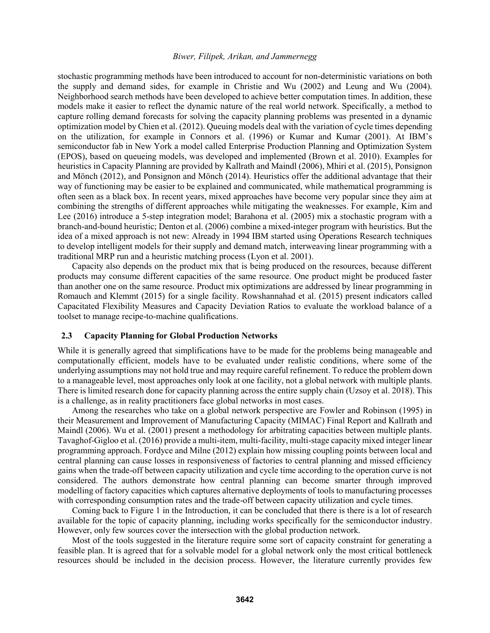stochastic programming methods have been introduced to account for non-deterministic variations on both the supply and demand sides, for example in Christie and Wu (2002) and Leung and Wu (2004). Neighborhood search methods have been developed to achieve better computation times. In addition, these models make it easier to reflect the dynamic nature of the real world network. Specifically, a method to capture rolling demand forecasts for solving the capacity planning problems was presented in a dynamic optimization model by Chien et al. (2012). Queuing models deal with the variation of cycle times depending on the utilization, for example in Connors et al. (1996) or Kumar and Kumar (2001). At IBM's semiconductor fab in New York a model called Enterprise Production Planning and Optimization System (EPOS), based on queueing models, was developed and implemented (Brown et al. 2010). Examples for heuristics in Capacity Planning are provided by Kallrath and Maindl (2006), Mhiri et al. (2015), Ponsignon and Mönch (2012), and Ponsignon and Mönch (2014). Heuristics offer the additional advantage that their way of functioning may be easier to be explained and communicated, while mathematical programming is often seen as a black box. In recent years, mixed approaches have become very popular since they aim at combining the strengths of different approaches while mitigating the weaknesses. For example, Kim and Lee (2016) introduce a 5-step integration model; Barahona et al. (2005) mix a stochastic program with a branch-and-bound heuristic; Denton et al. (2006) combine a mixed-integer program with heuristics. But the idea of a mixed approach is not new: Already in 1994 IBM started using Operations Research techniques to develop intelligent models for their supply and demand match, interweaving linear programming with a traditional MRP run and a heuristic matching process (Lyon et al. 2001).

Capacity also depends on the product mix that is being produced on the resources, because different products may consume different capacities of the same resource. One product might be produced faster than another one on the same resource. Product mix optimizations are addressed by linear programming in Romauch and Klemmt (2015) for a single facility. Rowshannahad et al. (2015) present indicators called Capacitated Flexibility Measures and Capacity Deviation Ratios to evaluate the workload balance of a toolset to manage recipe-to-machine qualifications.

### **2.3 Capacity Planning for Global Production Networks**

While it is generally agreed that simplifications have to be made for the problems being manageable and computationally efficient, models have to be evaluated under realistic conditions, where some of the underlying assumptions may not hold true and may require careful refinement. To reduce the problem down to a manageable level, most approaches only look at one facility, not a global network with multiple plants. There is limited research done for capacity planning across the entire supply chain (Uzsoy et al. 2018). This is a challenge, as in reality practitioners face global networks in most cases.

Among the researches who take on a global network perspective are Fowler and Robinson (1995) in their Measurement and Improvement of Manufacturing Capacity (MIMAC) Final Report and Kallrath and Maindl (2006). Wu et al. (2001) present a methodology for arbitrating capacities between multiple plants. Tavaghof-Gigloo et al. (2016) provide a multi-item, multi-facility, multi-stage capacity mixed integer linear programming approach. Fordyce and Milne (2012) explain how missing coupling points between local and central planning can cause losses in responsiveness of factories to central planning and missed efficiency gains when the trade-off between capacity utilization and cycle time according to the operation curve is not considered. The authors demonstrate how central planning can become smarter through improved modelling of factory capacities which captures alternative deployments of tools to manufacturing processes with corresponding consumption rates and the trade-off between capacity utilization and cycle times.

Coming back to Figure 1 in the Introduction, it can be concluded that there is there is a lot of research available for the topic of capacity planning, including works specifically for the semiconductor industry. However, only few sources cover the intersection with the global production network.

Most of the tools suggested in the literature require some sort of capacity constraint for generating a feasible plan. It is agreed that for a solvable model for a global network only the most critical bottleneck resources should be included in the decision process. However, the literature currently provides few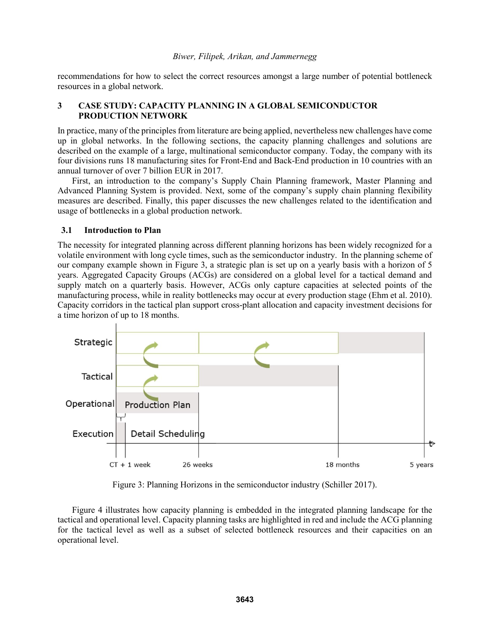recommendations for how to select the correct resources amongst a large number of potential bottleneck resources in a global network.

# **3 CASE STUDY: CAPACITY PLANNING IN A GLOBAL SEMICONDUCTOR PRODUCTION NETWORK**

In practice, many of the principles from literature are being applied, nevertheless new challenges have come up in global networks. In the following sections, the capacity planning challenges and solutions are described on the example of a large, multinational semiconductor company. Today, the company with its four divisions runs 18 manufacturing sites for Front-End and Back-End production in 10 countries with an annual turnover of over 7 billion EUR in 2017.

First, an introduction to the company's Supply Chain Planning framework, Master Planning and Advanced Planning System is provided. Next, some of the company's supply chain planning flexibility measures are described. Finally, this paper discusses the new challenges related to the identification and usage of bottlenecks in a global production network.

# **3.1 Introduction to Plan**

The necessity for integrated planning across different planning horizons has been widely recognized for a volatile environment with long cycle times, such as the semiconductor industry. In the planning scheme of our company example shown in Figure 3, a strategic plan is set up on a yearly basis with a horizon of 5 years. Aggregated Capacity Groups (ACGs) are considered on a global level for a tactical demand and supply match on a quarterly basis. However, ACGs only capture capacities at selected points of the manufacturing process, while in reality bottlenecks may occur at every production stage (Ehm et al. 2010). Capacity corridors in the tactical plan support cross-plant allocation and capacity investment decisions for a time horizon of up to 18 months.



Figure 3: Planning Horizons in the semiconductor industry (Schiller 2017).

Figure 4 illustrates how capacity planning is embedded in the integrated planning landscape for the tactical and operational level. Capacity planning tasks are highlighted in red and include the ACG planning for the tactical level as well as a subset of selected bottleneck resources and their capacities on an operational level.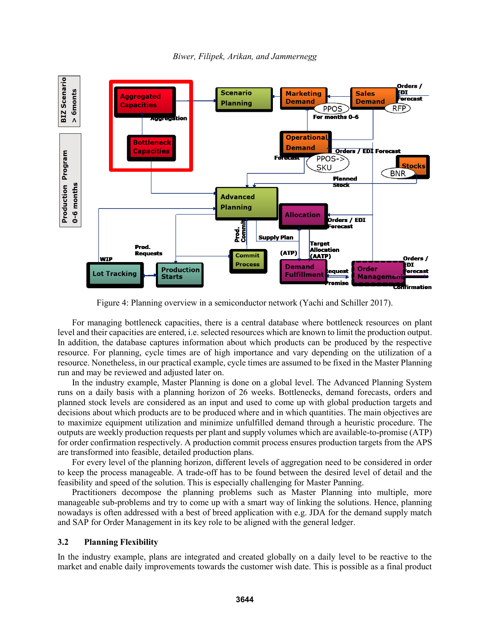

*Biwer, Filipek, Arikan, and Jammernegg*

Figure 4: Planning overview in a semiconductor network (Yachi and Schiller 2017).

For managing bottleneck capacities, there is a central database where bottleneck resources on plant level and their capacities are entered, i.e. selected resources which are known to limit the production output. In addition, the database captures information about which products can be produced by the respective resource. For planning, cycle times are of high importance and vary depending on the utilization of a resource. Nonetheless, in our practical example, cycle times are assumed to be fixed in the Master Planning run and may be reviewed and adjusted later on.

In the industry example, Master Planning is done on a global level. The Advanced Planning System runs on a daily basis with a planning horizon of 26 weeks. Bottlenecks, demand forecasts, orders and planned stock levels are considered as an input and used to come up with global production targets and decisions about which products are to be produced where and in which quantities. The main objectives are to maximize equipment utilization and minimize unfulfilled demand through a heuristic procedure. The outputs are weekly production requests per plant and supply volumes which are available-to-promise (ATP) for order confirmation respectively. A production commit process ensures production targets from the APS are transformed into feasible, detailed production plans.

For every level of the planning horizon, different levels of aggregation need to be considered in order to keep the process manageable. A trade-off has to be found between the desired level of detail and the feasibility and speed of the solution. This is especially challenging for Master Panning.

Practitioners decompose the planning problems such as Master Planning into multiple, more manageable sub-problems and try to come up with a smart way of linking the solutions. Hence, planning nowadays is often addressed with a best of breed application with e.g. JDA for the demand supply match and SAP for Order Management in its key role to be aligned with the general ledger.

### **3.2 Planning Flexibility**

In the industry example, plans are integrated and created globally on a daily level to be reactive to the market and enable daily improvements towards the customer wish date. This is possible as a final product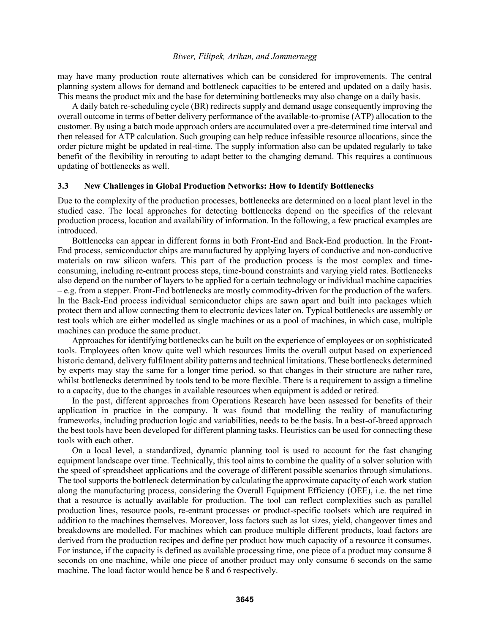may have many production route alternatives which can be considered for improvements. The central planning system allows for demand and bottleneck capacities to be entered and updated on a daily basis. This means the product mix and the base for determining bottlenecks may also change on a daily basis.

A daily batch re-scheduling cycle (BR) redirects supply and demand usage consequently improving the overall outcome in terms of better delivery performance of the available-to-promise (ATP) allocation to the customer. By using a batch mode approach orders are accumulated over a pre-determined time interval and then released for ATP calculation. Such grouping can help reduce infeasible resource allocations, since the order picture might be updated in real-time. The supply information also can be updated regularly to take benefit of the flexibility in rerouting to adapt better to the changing demand. This requires a continuous updating of bottlenecks as well.

### **3.3 New Challenges in Global Production Networks: How to Identify Bottlenecks**

Due to the complexity of the production processes, bottlenecks are determined on a local plant level in the studied case. The local approaches for detecting bottlenecks depend on the specifics of the relevant production process, location and availability of information. In the following, a few practical examples are introduced.

Bottlenecks can appear in different forms in both Front-End and Back-End production. In the Front-End process, semiconductor chips are manufactured by applying layers of conductive and non-conductive materials on raw silicon wafers. This part of the production process is the most complex and timeconsuming, including re-entrant process steps, time-bound constraints and varying yield rates. Bottlenecks also depend on the number of layers to be applied for a certain technology or individual machine capacities – e.g. from a stepper. Front-End bottlenecks are mostly commodity-driven for the production of the wafers. In the Back-End process individual semiconductor chips are sawn apart and built into packages which protect them and allow connecting them to electronic devices later on. Typical bottlenecks are assembly or test tools which are either modelled as single machines or as a pool of machines, in which case, multiple machines can produce the same product.

Approaches for identifying bottlenecks can be built on the experience of employees or on sophisticated tools. Employees often know quite well which resources limits the overall output based on experienced historic demand, delivery fulfilment ability patterns and technical limitations. These bottlenecks determined by experts may stay the same for a longer time period, so that changes in their structure are rather rare, whilst bottlenecks determined by tools tend to be more flexible. There is a requirement to assign a timeline to a capacity, due to the changes in available resources when equipment is added or retired.

In the past, different approaches from Operations Research have been assessed for benefits of their application in practice in the company. It was found that modelling the reality of manufacturing frameworks, including production logic and variabilities, needs to be the basis. In a best-of-breed approach the best tools have been developed for different planning tasks. Heuristics can be used for connecting these tools with each other.

On a local level, a standardized, dynamic planning tool is used to account for the fast changing equipment landscape over time. Technically, this tool aims to combine the quality of a solver solution with the speed of spreadsheet applications and the coverage of different possible scenarios through simulations. The tool supports the bottleneck determination by calculating the approximate capacity of each work station along the manufacturing process, considering the Overall Equipment Efficiency (OEE), i.e. the net time that a resource is actually available for production. The tool can reflect complexities such as parallel production lines, resource pools, re-entrant processes or product-specific toolsets which are required in addition to the machines themselves. Moreover, loss factors such as lot sizes, yield, changeover times and breakdowns are modelled. For machines which can produce multiple different products, load factors are derived from the production recipes and define per product how much capacity of a resource it consumes. For instance, if the capacity is defined as available processing time, one piece of a product may consume 8 seconds on one machine, while one piece of another product may only consume 6 seconds on the same machine. The load factor would hence be 8 and 6 respectively.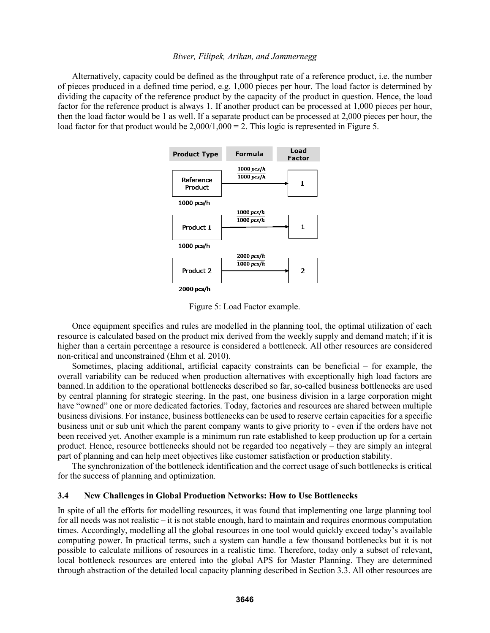Alternatively, capacity could be defined as the throughput rate of a reference product, i.e. the number of pieces produced in a defined time period, e.g. 1,000 pieces per hour. The load factor is determined by dividing the capacity of the reference product by the capacity of the product in question. Hence, the load factor for the reference product is always 1. If another product can be processed at 1,000 pieces per hour, then the load factor would be 1 as well. If a separate product can be processed at 2,000 pieces per hour, the load factor for that product would be  $2,000/1,000 = 2$ . This logic is represented in Figure 5.



Figure 5: Load Factor example.

Once equipment specifics and rules are modelled in the planning tool, the optimal utilization of each resource is calculated based on the product mix derived from the weekly supply and demand match; if it is higher than a certain percentage a resource is considered a bottleneck. All other resources are considered non-critical and unconstrained (Ehm et al. 2010).

Sometimes, placing additional, artificial capacity constraints can be beneficial – for example, the overall variability can be reduced when production alternatives with exceptionally high load factors are banned.In addition to the operational bottlenecks described so far, so-called business bottlenecks are used by central planning for strategic steering. In the past, one business division in a large corporation might have "owned" one or more dedicated factories. Today, factories and resources are shared between multiple business divisions. For instance, business bottlenecks can be used to reserve certain capacities for a specific business unit or sub unit which the parent company wants to give priority to - even if the orders have not been received yet. Another example is a minimum run rate established to keep production up for a certain product. Hence, resource bottlenecks should not be regarded too negatively – they are simply an integral part of planning and can help meet objectives like customer satisfaction or production stability.

The synchronization of the bottleneck identification and the correct usage of such bottlenecks is critical for the success of planning and optimization.

#### **3.4 New Challenges in Global Production Networks: How to Use Bottlenecks**

In spite of all the efforts for modelling resources, it was found that implementing one large planning tool for all needs was not realistic – it is not stable enough, hard to maintain and requires enormous computation times. Accordingly, modelling all the global resources in one tool would quickly exceed today's available computing power. In practical terms, such a system can handle a few thousand bottlenecks but it is not possible to calculate millions of resources in a realistic time. Therefore, today only a subset of relevant, local bottleneck resources are entered into the global APS for Master Planning. They are determined through abstraction of the detailed local capacity planning described in Section 3.3. All other resources are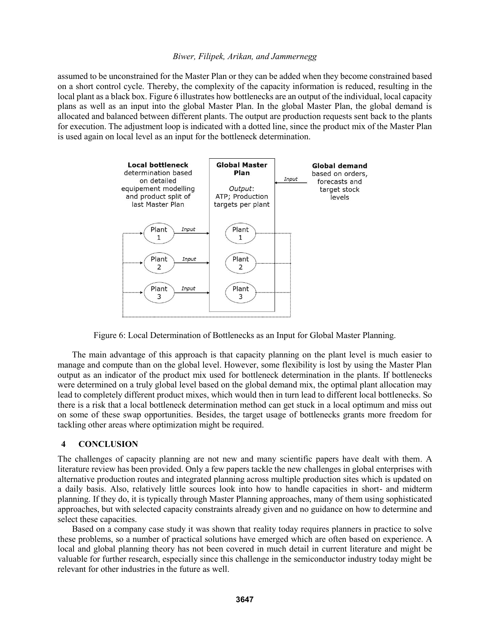assumed to be unconstrained for the Master Plan or they can be added when they become constrained based on a short control cycle. Thereby, the complexity of the capacity information is reduced, resulting in the local plant as a black box. Figure 6 illustrates how bottlenecks are an output of the individual, local capacity plans as well as an input into the global Master Plan. In the global Master Plan, the global demand is allocated and balanced between different plants. The output are production requests sent back to the plants for execution. The adjustment loop is indicated with a dotted line, since the product mix of the Master Plan is used again on local level as an input for the bottleneck determination.



Figure 6: Local Determination of Bottlenecks as an Input for Global Master Planning.

The main advantage of this approach is that capacity planning on the plant level is much easier to manage and compute than on the global level. However, some flexibility is lost by using the Master Plan output as an indicator of the product mix used for bottleneck determination in the plants. If bottlenecks were determined on a truly global level based on the global demand mix, the optimal plant allocation may lead to completely different product mixes, which would then in turn lead to different local bottlenecks. So there is a risk that a local bottleneck determination method can get stuck in a local optimum and miss out on some of these swap opportunities. Besides, the target usage of bottlenecks grants more freedom for tackling other areas where optimization might be required.

# **4 CONCLUSION**

The challenges of capacity planning are not new and many scientific papers have dealt with them. A literature review has been provided. Only a few papers tackle the new challenges in global enterprises with alternative production routes and integrated planning across multiple production sites which is updated on a daily basis. Also, relatively little sources look into how to handle capacities in short- and midterm planning. If they do, it is typically through Master Planning approaches, many of them using sophisticated approaches, but with selected capacity constraints already given and no guidance on how to determine and select these capacities.

Based on a company case study it was shown that reality today requires planners in practice to solve these problems, so a number of practical solutions have emerged which are often based on experience. A local and global planning theory has not been covered in much detail in current literature and might be valuable for further research, especially since this challenge in the semiconductor industry today might be relevant for other industries in the future as well.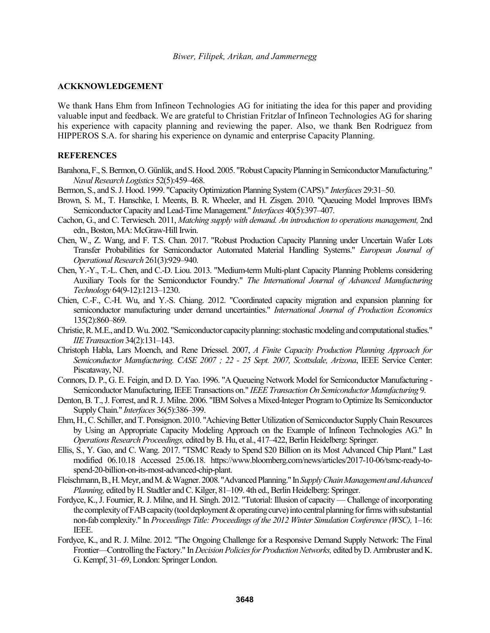### **ACKKNOWLEDGEMENT**

We thank Hans Ehm from Infineon Technologies AG for initiating the idea for this paper and providing valuable input and feedback. We are grateful to Christian Fritzlar of Infineon Technologies AG for sharing his experience with capacity planning and reviewing the paper. Also, we thank Ben Rodriguez from HIPPEROS S.A. for sharing his experience on dynamic and enterprise Capacity Planning.

### **REFERENCES**

- Barahona, F., S. Bermon, O. Günlük, and S. Hood. 2005. "Robust Capacity Planning in Semiconductor Manufacturing." *Naval Research Logistics* 52(5):459–468.
- Bermon, S., and S. J. Hood. 1999. "Capacity Optimization Planning System (CAPS)." *Interfaces* 29:31–50.
- Brown, S. M., T. Hanschke, I. Meents, B. R. Wheeler, and H. Zisgen. 2010. "Queueing Model Improves IBM's Semiconductor Capacity and Lead-Time Management." *Interfaces* 40(5):397–407.
- Cachon, G., and C. Terwiesch. 2011, *Matching supply with demand. An introduction to operations management*, 2nd edn., Boston, MA: McGraw-Hill Irwin.
- Chen, W., Z. Wang, and F. T.S. Chan. 2017. "Robust Production Capacity Planning under Uncertain Wafer Lots Transfer Probabilities for Semiconductor Automated Material Handling Systems." *European Journal of Operational Research* 261(3):929–940.
- Chen, Y.-Y., T.-L. Chen, and C.-D. Liou. 2013. "Medium-term Multi-plant Capacity Planning Problems considering Auxiliary Tools for the Semiconductor Foundry." *The International Journal of Advanced Manufacturing Technology* 64(9-12):1213–1230.
- Chien, C.-F., C.-H. Wu, and Y.-S. Chiang. 2012. "Coordinated capacity migration and expansion planning for semiconductor manufacturing under demand uncertainties." *International Journal of Production Economics* 135(2):860–869.
- Christie, R. M.E., and D. Wu. 2002. "Semiconductor capacity planning: stochastic modeling and computational studies." *IIE Transaction* 34(2):131–143.
- Christoph Habla, Lars Moench, and Rene Driessel. 2007, *A Finite Capacity Production Planning Approach for Semiconductor Manufacturing. CASE 2007 ; 22 - 25 Sept. 2007, Scottsdale, Arizona*, IEEE Service Center: Piscataway, NJ.
- Connors, D. P., G. E. Feigin, and D. D. Yao. 1996. "A Queueing Network Model for Semiconductor Manufacturing Semiconductor Manufacturing, IEEE Transactions on." *IEEE Transaction On Semiconductor Manufacturing* 9.
- Denton, B. T., J. Forrest, and R. J. Milne. 2006. "IBM Solves a Mixed-Integer Program to Optimize Its Semiconductor Supply Chain." *Interfaces* 36(5):386–399.
- Ehm, H., C. Schiller, and T. Ponsignon. 2010. "Achieving Better Utilization of Semiconductor Supply Chain Resources by Using an Appropriate Capacity Modeling Approach on the Example of Infineon Technologies AG." In *Operations Research Proceedings,* edited by B. Hu, et al., 417–422, Berlin Heidelberg: Springer.
- Ellis, S., Y. Gao, and C. Wang. 2017. "TSMC Ready to Spend \$20 Billion on its Most Advanced Chip Plant." Last modified 06.10.18 Accessed 25.06.18. https://www.bloomberg.com/news/articles/2017-10-06/tsmc-ready-tospend-20-billion-on-its-most-advanced-chip-plant.
- Fleischmann, B., H. Meyr, and M. & Wagner. 2008. "Advanced Planning." In *Supply Chain Management and Advanced Planning,* edited by H. Stadtler and C. Kilger, 81–109. 4th ed., Berlin Heidelberg: Springer.
- Fordyce, K., J. Fournier, R. J. Milne, and H. Singh. 2012. "Tutorial: Illusion of capacity Challenge of incorporating the complexity of FAB capacity (tool deployment & operating curve) into central planning for firms with substantial non-fab complexity." In *Proceedings Title: Proceedings of the 2012 Winter Simulation Conference (WSC)*, 1–16: IEEE.
- Fordyce, K., and R. J. Milne. 2012. "The Ongoing Challenge for a Responsive Demand Supply Network: The Final Frontier—Controlling the Factory." In *Decision Policies for Production Networks,* edited by D. Armbruster and K. G. Kempf, 31–69, London: Springer London.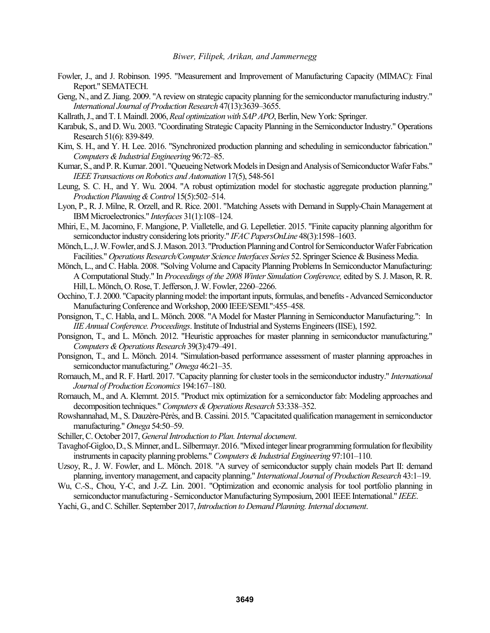- Fowler, J., and J. Robinson. 1995. "Measurement and Improvement of Manufacturing Capacity (MIMAC): Final Report." SEMATECH.
- Geng, N., and Z. Jiang. 2009. "A review on strategic capacity planning for the semiconductor manufacturing industry." *International Journal of Production Research* 47(13):3639–3655.
- Kallrath, J., and T. I. Maindl. 2006, *Real optimization with SAP APO*, Berlin, New York: Springer.
- Karabuk, S., and D. Wu. 2003. "Coordinating Strategic Capacity Planning in the Semiconductor Industry." Operations Research 51(6): 839-849.
- Kim, S. H., and Y. H. Lee. 2016. "Synchronized production planning and scheduling in semiconductor fabrication." *Computers & Industrial Engineering* 96:72–85.
- Kumar, S., and P. R. Kumar. 2001. "Queueing Network Models in Design and Analysis of Semiconductor Wafer Fabs." *IEEE Transactions on Robotics and Automation* 17(5), 548-561
- Leung, S. C. H., and Y. Wu. 2004. "A robust optimization model for stochastic aggregate production planning." *Production Planning & Control* 15(5):502–514.
- Lyon, P., R. J. Milne, R. Orzell, and R. Rice. 2001. "Matching Assets with Demand in Supply-Chain Management at IBM Microelectronics." *Interfaces* 31(1):108–124.
- Mhiri, E., M. Jacomino, F. Mangione, P. Vialletelle, and G. Lepelletier. 2015. "Finite capacity planning algorithm for semiconductor industry considering lots priority." *IFAC PapersOnLine* 48(3):1598–1603.
- Mönch, L., J. W. Fowler, and S. J. Mason. 2013. "Production Planning and Control for Semiconductor Wafer Fabrication Facilities." *Operations Research/Computer Science Interfaces Series* 52. Springer Science & Business Media.
- Mönch, L., and C. Habla. 2008. "Solving Volume and Capacity Planning Problems In Semiconductor Manufacturing: A Computational Study." In *Proceedings of the 2008 Winter Simulation Conference,* edited by S. J. Mason, R. R. Hill, L. Mönch, O. Rose, T. Jefferson, J. W. Fowler, 2260–2266.
- Occhino, T. J. 2000. "Capacity planning model: the important inputs, formulas, and benefits -Advanced Semiconductor Manufacturing Conference and Workshop, 2000 IEEE/SEMI.":455–458.
- Ponsignon, T., C. Habla, and L. Mönch. 2008. "A Model for Master Planning in Semiconductor Manufacturing.": In *IIE Annual Conference. Proceedings*. Institute of Industrial and Systems Engineers (IISE), 1592.
- Ponsignon, T., and L. Mönch. 2012. "Heuristic approaches for master planning in semiconductor manufacturing." *Computers & Operations Research* 39(3):479–491.
- Ponsignon, T., and L. Mönch. 2014. "Simulation-based performance assessment of master planning approaches in semiconductor manufacturing." *Omega* 46:21–35.
- Romauch, M., and R. F. Hartl. 2017. "Capacity planning for cluster tools in the semiconductor industry." *International Journal of Production Economics* 194:167–180.
- Romauch, M., and A. Klemmt. 2015. "Product mix optimization for a semiconductor fab: Modeling approaches and decomposition techniques." *Computers & Operations Research* 53:338–352.
- Rowshannahad, M., S. Dauzère-Pérès, and B. Cassini. 2015. "Capacitated qualification management in semiconductor manufacturing." *Omega* 54:50–59.
- Schiller, C. October 2017, *General Introduction to Plan. Internal document*.
- Tavaghof-Gigloo, D., S. Minner, and L. Silbermayr. 2016. "Mixed integer linear programming formulation for flexibility instruments in capacity planning problems." *Computers & Industrial Engineering* 97:101–110.
- Uzsoy, R., J. W. Fowler, and L. Mönch. 2018. "A survey of semiconductor supply chain models Part II: demand planning, inventory management, and capacity planning." *International Journal of Production Research* 43:1–19.
- Wu, C.-S., Chou, Y-C, and J.-Z. Lin. 2001. "Optimization and economic analysis for tool portfolio planning in semiconductor manufacturing - Semiconductor Manufacturing Symposium, 2001 IEEE International." *IEEE*.
- Yachi, G., and C. Schiller. September 2017, *Introduction to Demand Planning. Internal document*.